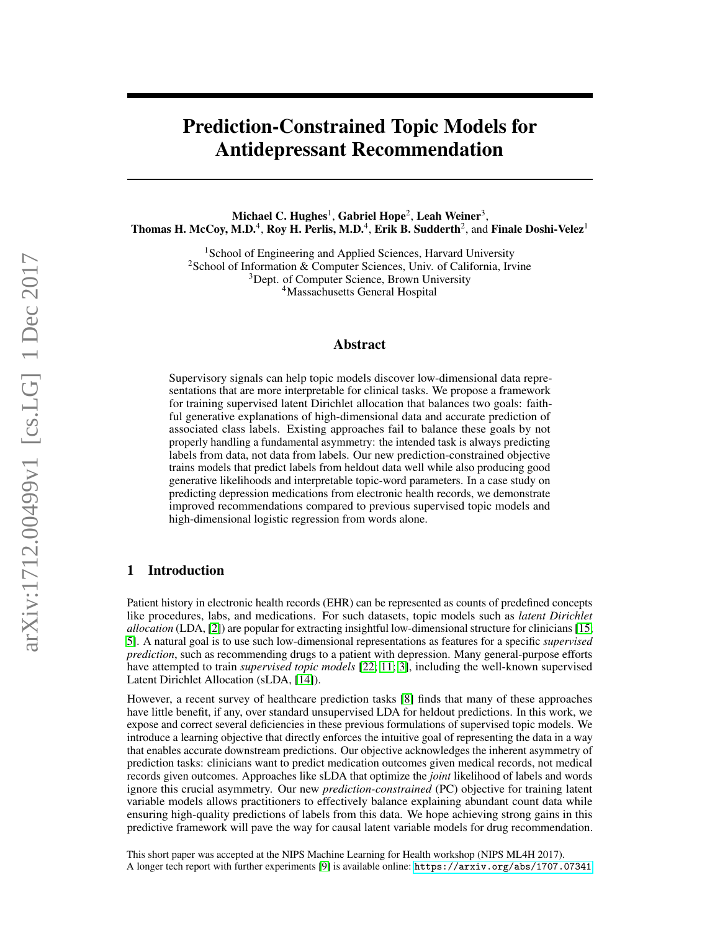# Prediction-Constrained Topic Models for Antidepressant Recommendation

Michael C. Hughes $^1$ , Gabriel Hope $^2$ , Leah Weiner $^3,$ Thomas H. McCoy, M.D.<sup>4</sup>, Roy H. Perlis, M.D.<sup>4</sup>, Erik B. Sudderth<sup>2</sup>, and Finale Doshi-Velez<sup>1</sup>

> <sup>1</sup> School of Engineering and Applied Sciences, Harvard University <sup>2</sup>School of Information & Computer Sciences, Univ. of California, Irvine <sup>3</sup>Dept. of Computer Science, Brown University <sup>4</sup>Massachusetts General Hospital

#### Abstract

Supervisory signals can help topic models discover low-dimensional data representations that are more interpretable for clinical tasks. We propose a framework for training supervised latent Dirichlet allocation that balances two goals: faithful generative explanations of high-dimensional data and accurate prediction of associated class labels. Existing approaches fail to balance these goals by not properly handling a fundamental asymmetry: the intended task is always predicting labels from data, not data from labels. Our new prediction-constrained objective trains models that predict labels from heldout data well while also producing good generative likelihoods and interpretable topic-word parameters. In a case study on predicting depression medications from electronic health records, we demonstrate improved recommendations compared to previous supervised topic models and high-dimensional logistic regression from words alone.

## 1 Introduction

Patient history in electronic health records (EHR) can be represented as counts of predefined concepts like procedures, labs, and medications. For such datasets, topic models such as *latent Dirichlet allocation* (LDA, [\[2\]](#page-4-0)) are popular for extracting insightful low-dimensional structure for clinicians [\[15;](#page-4-1) [5\]](#page-4-2). A natural goal is to use such low-dimensional representations as features for a specific *supervised prediction*, such as recommending drugs to a patient with depression. Many general-purpose efforts have attempted to train *supervised topic models* [\[22;](#page-4-3) [11;](#page-4-4) [3\]](#page-4-5), including the well-known supervised Latent Dirichlet Allocation (sLDA, [\[14\]](#page-4-6)).

However, a recent survey of healthcare prediction tasks [\[8\]](#page-4-7) finds that many of these approaches have little benefit, if any, over standard unsupervised LDA for heldout predictions. In this work, we expose and correct several deficiencies in these previous formulations of supervised topic models. We introduce a learning objective that directly enforces the intuitive goal of representing the data in a way that enables accurate downstream predictions. Our objective acknowledges the inherent asymmetry of prediction tasks: clinicians want to predict medication outcomes given medical records, not medical records given outcomes. Approaches like sLDA that optimize the *joint* likelihood of labels and words ignore this crucial asymmetry. Our new *prediction-constrained* (PC) objective for training latent variable models allows practitioners to effectively balance explaining abundant count data while ensuring high-quality predictions of labels from this data. We hope achieving strong gains in this predictive framework will pave the way for causal latent variable models for drug recommendation.

This short paper was accepted at the NIPS Machine Learning for Health workshop (NIPS ML4H 2017). A longer tech report with further experiments [\[9\]](#page-4-8) is available online: <https://arxiv.org/abs/1707.07341>.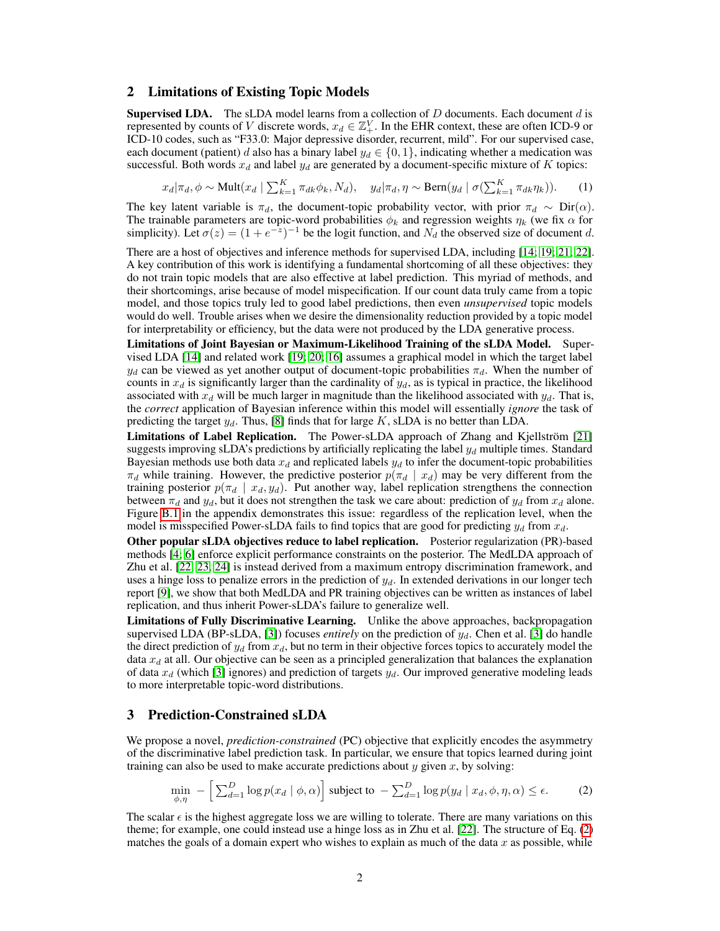#### 2 Limitations of Existing Topic Models

**Supervised LDA.** The sLDA model learns from a collection of  $D$  documents. Each document  $d$  is represented by counts of V discrete words,  $x_d \in \mathbb{Z}_+^V$ . In the EHR context, these are often ICD-9 or ICD-10 codes, such as "F33.0: Major depressive disorder, recurrent, mild". For our supervised case, each document (patient) d also has a binary label  $y_d \in \{0, 1\}$ , indicating whether a medication was successful. Both words  $x_d$  and label  $y_d$  are generated by a document-specific mixture of K topics:

$$
x_d | \pi_d, \phi \sim \text{Mult}(x_d \mid \sum_{k=1}^K \pi_{dk} \phi_k, N_d), \quad y_d | \pi_d, \eta \sim \text{Bern}(y_d \mid \sigma(\sum_{k=1}^K \pi_{dk} \eta_k)). \tag{1}
$$

The key latent variable is  $\pi_d$ , the document-topic probability vector, with prior  $\pi_d \sim \text{Dir}(\alpha)$ . The trainable parameters are topic-word probabilities  $\phi_k$  and regression weights  $\eta_k$  (we fix  $\alpha$  for simplicity). Let  $\sigma(z) = (1 + e^{-z})^{-1}$  be the logit function, and  $N_d$  the observed size of document d.

There are a host of objectives and inference methods for supervised LDA, including [\[14;](#page-4-6) [19;](#page-4-9) [21;](#page-4-10) [22\]](#page-4-3). A key contribution of this work is identifying a fundamental shortcoming of all these objectives: they do not train topic models that are also effective at label prediction. This myriad of methods, and their shortcomings, arise because of model mispecification. If our count data truly came from a topic model, and those topics truly led to good label predictions, then even *unsupervised* topic models would do well. Trouble arises when we desire the dimensionality reduction provided by a topic model for interpretability or efficiency, but the data were not produced by the LDA generative process.

Limitations of Joint Bayesian or Maximum-Likelihood Training of the sLDA Model. Supervised LDA [\[14\]](#page-4-6) and related work [\[19;](#page-4-9) [20;](#page-4-11) [16\]](#page-4-12) assumes a graphical model in which the target label  $y_d$  can be viewed as yet another output of document-topic probabilities  $\pi_d$ . When the number of counts in  $x_d$  is significantly larger than the cardinality of  $y_d$ , as is typical in practice, the likelihood associated with  $x_d$  will be much larger in magnitude than the likelihood associated with  $y_d$ . That is, the *correct* application of Bayesian inference within this model will essentially *ignore* the task of predicting the target  $y_d$ . Thus, [\[8\]](#page-4-7) finds that for large K, sLDA is no better than LDA.

Limitations of Label Replication. The Power-sLDA approach of Zhang and Kjellström [\[21\]](#page-4-10) suggests improving sLDA's predictions by artificially replicating the label  $y_d$  multiple times. Standard Bayesian methods use both data  $x_d$  and replicated labels  $y_d$  to infer the document-topic probabilities  $\pi_d$  while training. However, the predictive posterior  $p(\pi_d | x_d)$  may be very different from the training posterior  $p(\pi_d | x_d, y_d)$ . Put another way, label replication strengthens the connection between  $\pi_d$  and  $y_d$ , but it does not strengthen the task we care about: prediction of  $y_d$  from  $x_d$  alone. Figure [B.1](#page-6-0) in the appendix demonstrates this issue: regardless of the replication level, when the model is misspecified Power-sLDA fails to find topics that are good for predicting  $y_d$  from  $x_d$ .

Other popular sLDA objectives reduce to label replication. Posterior regularization (PR)-based methods [\[4;](#page-4-13) [6\]](#page-4-14) enforce explicit performance constraints on the posterior. The MedLDA approach of Zhu et al. [\[22,](#page-4-3) [23,](#page-4-15) [24\]](#page-4-16) is instead derived from a maximum entropy discrimination framework, and uses a hinge loss to penalize errors in the prediction of  $y_d$ . In extended derivations in our longer tech report [\[9\]](#page-4-8), we show that both MedLDA and PR training objectives can be written as instances of label replication, and thus inherit Power-sLDA's failure to generalize well.

Limitations of Fully Discriminative Learning. Unlike the above approaches, backpropagation supervised LDA (BP-sLDA, [\[3\]](#page-4-5)) focuses *entirely* on the prediction of  $y_d$ . Chen et al. [3] do handle the direct prediction of  $y_d$  from  $x_d$ , but no term in their objective forces topics to accurately model the data  $x_d$  at all. Our objective can be seen as a principled generalization that balances the explanation of data  $x_d$  (which [\[3\]](#page-4-5) ignores) and prediction of targets  $y_d$ . Our improved generative modeling leads to more interpretable topic-word distributions.

#### 3 Prediction-Constrained sLDA

We propose a novel, *prediction-constrained* (PC) objective that explicitly encodes the asymmetry of the discriminative label prediction task. In particular, we ensure that topics learned during joint training can also be used to make accurate predictions about  $y$  given  $x$ , by solving:

<span id="page-1-0"></span>
$$
\min_{\phi,\eta} - \left[ \sum_{d=1}^{D} \log p(x_d | \phi, \alpha) \right] \text{ subject to } - \sum_{d=1}^{D} \log p(y_d | x_d, \phi, \eta, \alpha) \le \epsilon. \tag{2}
$$

The scalar  $\epsilon$  is the highest aggregate loss we are willing to tolerate. There are many variations on this theme; for example, one could instead use a hinge loss as in Zhu et al. [\[22\]](#page-4-3). The structure of Eq. [\(2\)](#page-1-0) matches the goals of a domain expert who wishes to explain as much of the data  $x$  as possible, while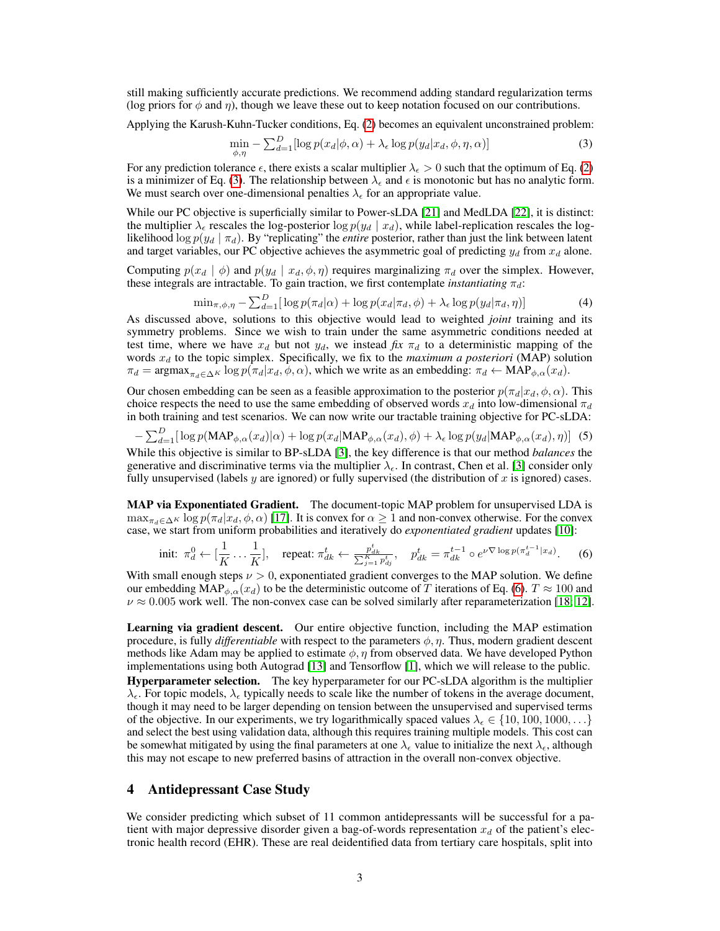still making sufficiently accurate predictions. We recommend adding standard regularization terms (log priors for  $\phi$  and  $\eta$ ), though we leave these out to keep notation focused on our contributions.

Applying the Karush-Kuhn-Tucker conditions, Eq. [\(2\)](#page-1-0) becomes an equivalent unconstrained problem:

<span id="page-2-0"></span>
$$
\min_{\phi,\eta} - \sum_{d=1}^{D} [\log p(x_d|\phi,\alpha) + \lambda_{\epsilon} \log p(y_d|x_d,\phi,\eta,\alpha)] \tag{3}
$$

For any prediction tolerance  $\epsilon$ , there exists a scalar multiplier  $\lambda_{\epsilon} > 0$  such that the optimum of Eq. [\(2\)](#page-1-0) is a minimizer of Eq. [\(3\)](#page-2-0). The relationship between  $\lambda_{\epsilon}$  and  $\epsilon$  is monotonic but has no analytic form. We must search over one-dimensional penalties  $\lambda_{\epsilon}$  for an appropriate value.

While our PC objective is superficially similar to Power-sLDA [\[21\]](#page-4-10) and MedLDA [\[22\]](#page-4-3), it is distinct: the multiplier  $\lambda_{\epsilon}$  rescales the log-posterior log  $p(y_d | x_d)$ , while label-replication rescales the loglikelihood log  $p(y_d | \pi_d)$ . By "replicating" the *entire* posterior, rather than just the link between latent and target variables, our PC objective achieves the asymmetric goal of predicting  $y_d$  from  $x_d$  alone.

Computing  $p(x_d | \phi)$  and  $p(y_d | x_d, \phi, \eta)$  requires marginalizing  $\pi_d$  over the simplex. However, these integrals are intractable. To gain traction, we first contemplate *instantiating*  $\pi_d$ :

$$
\min_{\pi,\phi,\eta} - \sum_{d=1}^{D} [\log p(\pi_d|\alpha) + \log p(x_d|\pi_d,\phi) + \lambda_{\epsilon} \log p(y_d|\pi_d,\eta)] \tag{4}
$$

As discussed above, solutions to this objective would lead to weighted *joint* training and its symmetry problems. Since we wish to train under the same asymmetric conditions needed at test time, where we have  $x_d$  but not  $y_d$ , we instead *fix*  $\pi_d$  to a deterministic mapping of the words  $x_d$  to the topic simplex. Specifically, we fix to the *maximum a posteriori* (MAP) solution  $\pi_d = \argmax_{\pi, \in \Delta^K} \log p(\pi_d | x_d, \phi, \alpha)$ , which we write as an embedding:  $\pi_d \leftarrow \text{MAP}_{\phi, \alpha}(x_d)$ .

Our chosen embedding can be seen as a feasible approximation to the posterior  $p(\pi_d|x_d, \phi, \alpha)$ . This choice respects the need to use the same embedding of observed words  $x_d$  into low-dimensional  $\pi_d$ in both training and test scenarios. We can now write our tractable training objective for PC-sLDA:

 $-\sum_{d=1}^{D} [\log p(\text{MAP}_{\phi,\alpha}(x_d)|\alpha) + \log p(x_d|\text{MAP}_{\phi,\alpha}(x_d),\phi) + \lambda_{\epsilon} \log p(y_d|\text{MAP}_{\phi,\alpha}(x_d),\eta)]$  (5) While this objective is similar to BP-sLDA [\[3\]](#page-4-5), the key difference is that our method *balances* the generative and discriminative terms via the multiplier  $\lambda_{\epsilon}$ . In contrast, Chen et al. [\[3\]](#page-4-5) consider only fully unsupervised (labels  $y$  are ignored) or fully supervised (the distribution of  $x$  is ignored) cases.

MAP via Exponentiated Gradient. The document-topic MAP problem for unsupervised LDA is  $\max_{\pi, \epsilon \in \Delta^K} \log p(\pi_d | x_d, \phi, \alpha)$  [\[17\]](#page-4-17). It is convex for  $\alpha \ge 1$  and non-convex otherwise. For the convex case, we start from uniform probabilities and iteratively do *exponentiated gradient* updates [\[10\]](#page-4-18):

<span id="page-2-1"></span>
$$
\text{init: } \pi_d^0 \leftarrow [\frac{1}{K} \dots \frac{1}{K}], \quad \text{repeat: } \pi_{dk}^t \leftarrow \frac{p_{dk}^t}{\sum_{j=1}^K p_{dj}^t}, \quad p_{dk}^t = \pi_{dk}^{t-1} \circ e^{\nu \nabla \log p(\pi_d^{t-1} | x_d)}.
$$
 (6)

With small enough steps  $\nu > 0$ , exponentiated gradient converges to the MAP solution. We define our embedding MAP<sub> $\phi_{\alpha}(\alpha_d)$ </sub> to be the deterministic outcome of T iterations of Eq. [\(6\)](#page-2-1).  $T \approx 100$  and  $\nu \approx 0.005$  work well. The non-convex case can be solved similarly after reparameterization [\[18;](#page-4-19) [12\]](#page-4-20).

Learning via gradient descent. Our entire objective function, including the MAP estimation procedure, is fully *differentiable* with respect to the parameters  $\phi$ ,  $\eta$ . Thus, modern gradient descent methods like Adam may be applied to estimate  $\phi$ ,  $\eta$  from observed data. We have developed Python implementations using both Autograd [\[13\]](#page-4-21) and Tensorflow [\[1\]](#page-4-22), which we will release to the public. Hyperparameter selection. The key hyperparameter for our PC-sLDA algorithm is the multiplier  $\lambda_{\epsilon}$ . For topic models,  $\lambda_{\epsilon}$  typically needs to scale like the number of tokens in the average document, though it may need to be larger depending on tension between the unsupervised and supervised terms of the objective. In our experiments, we try logarithmically spaced values  $\lambda_{\epsilon} \in \{10, 100, 1000, \ldots\}$ and select the best using validation data, although this requires training multiple models. This cost can be somewhat mitigated by using the final parameters at one  $\lambda_{\epsilon}$  value to initialize the next  $\lambda_{\epsilon}$ , although this may not escape to new preferred basins of attraction in the overall non-convex objective.

#### 4 Antidepressant Case Study

We consider predicting which subset of 11 common antidepressants will be successful for a patient with major depressive disorder given a bag-of-words representation  $x_d$  of the patient's electronic health record (EHR). These are real deidentified data from tertiary care hospitals, split into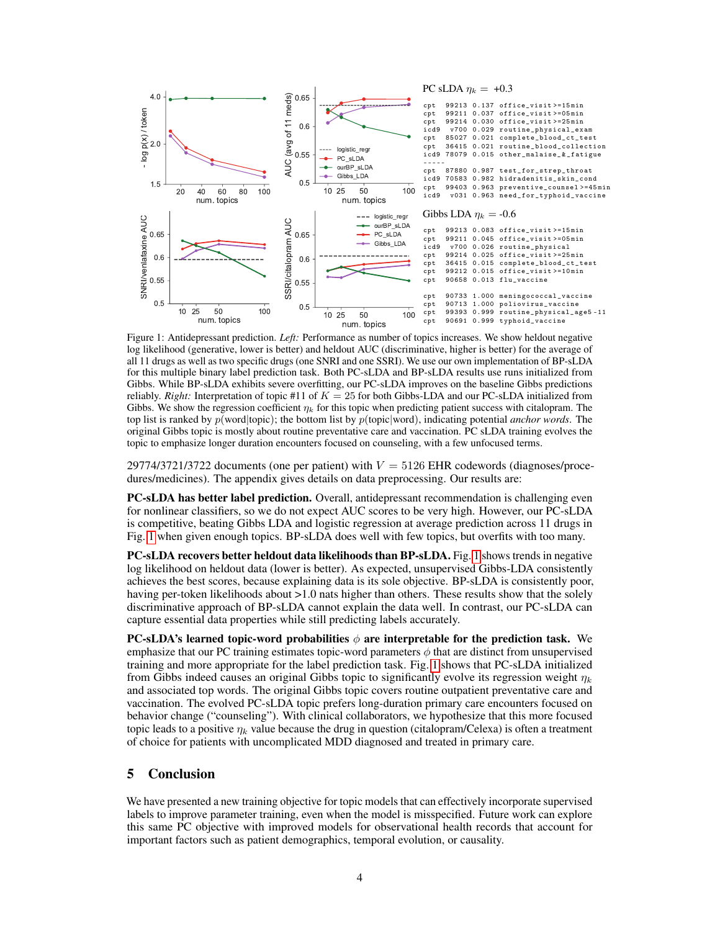<span id="page-3-0"></span>

Figure 1: Antidepressant prediction. *Left:* Performance as number of topics increases. We show heldout negative log likelihood (generative, lower is better) and heldout AUC (discriminative, higher is better) for the average of all 11 drugs as well as two specific drugs (one SNRI and one SSRI). We use our own implementation of BP-sLDA for this multiple binary label prediction task. Both PC-sLDA and BP-sLDA results use runs initialized from Gibbs. While BP-sLDA exhibits severe overfitting, our PC-sLDA improves on the baseline Gibbs predictions reliably. *Right:* Interpretation of topic #11 of  $K = 25$  for both Gibbs-LDA and our PC-sLDA initialized from Gibbs. We show the regression coefficient  $\eta_k$  for this topic when predicting patient success with citalopram. The top list is ranked by p(word|topic); the bottom list by p(topic|word), indicating potential *anchor words*. The original Gibbs topic is mostly about routine preventative care and vaccination. PC sLDA training evolves the topic to emphasize longer duration encounters focused on counseling, with a few unfocused terms.

29774/3721/3722 documents (one per patient) with  $V = 5126$  EHR codewords (diagnoses/procedures/medicines). The appendix gives details on data preprocessing. Our results are:

PC-sLDA has better label prediction. Overall, antidepressant recommendation is challenging even for nonlinear classifiers, so we do not expect AUC scores to be very high. However, our PC-sLDA is competitive, beating Gibbs LDA and logistic regression at average prediction across 11 drugs in Fig. [1](#page-3-0) when given enough topics. BP-sLDA does well with few topics, but overfits with too many.

PC-sLDA recovers better heldout data likelihoods than BP-sLDA. Fig. [1](#page-3-0) shows trends in negative log likelihood on heldout data (lower is better). As expected, unsupervised Gibbs-LDA consistently achieves the best scores, because explaining data is its sole objective. BP-sLDA is consistently poor, having per-token likelihoods about  $>1.0$  nats higher than others. These results show that the solely discriminative approach of BP-sLDA cannot explain the data well. In contrast, our PC-sLDA can capture essential data properties while still predicting labels accurately.

PC-sLDA's learned topic-word probabilities  $\phi$  are interpretable for the prediction task. We emphasize that our PC training estimates topic-word parameters  $\phi$  that are distinct from unsupervised training and more appropriate for the label prediction task. Fig. [1](#page-3-0) shows that PC-sLDA initialized from Gibbs indeed causes an original Gibbs topic to significantly evolve its regression weight  $\eta_k$ and associated top words. The original Gibbs topic covers routine outpatient preventative care and vaccination. The evolved PC-sLDA topic prefers long-duration primary care encounters focused on behavior change ("counseling"). With clinical collaborators, we hypothesize that this more focused topic leads to a positive  $\eta_k$  value because the drug in question (citalopram/Celexa) is often a treatment of choice for patients with uncomplicated MDD diagnosed and treated in primary care.

## 5 Conclusion

We have presented a new training objective for topic models that can effectively incorporate supervised labels to improve parameter training, even when the model is misspecified. Future work can explore this same PC objective with improved models for observational health records that account for important factors such as patient demographics, temporal evolution, or causality.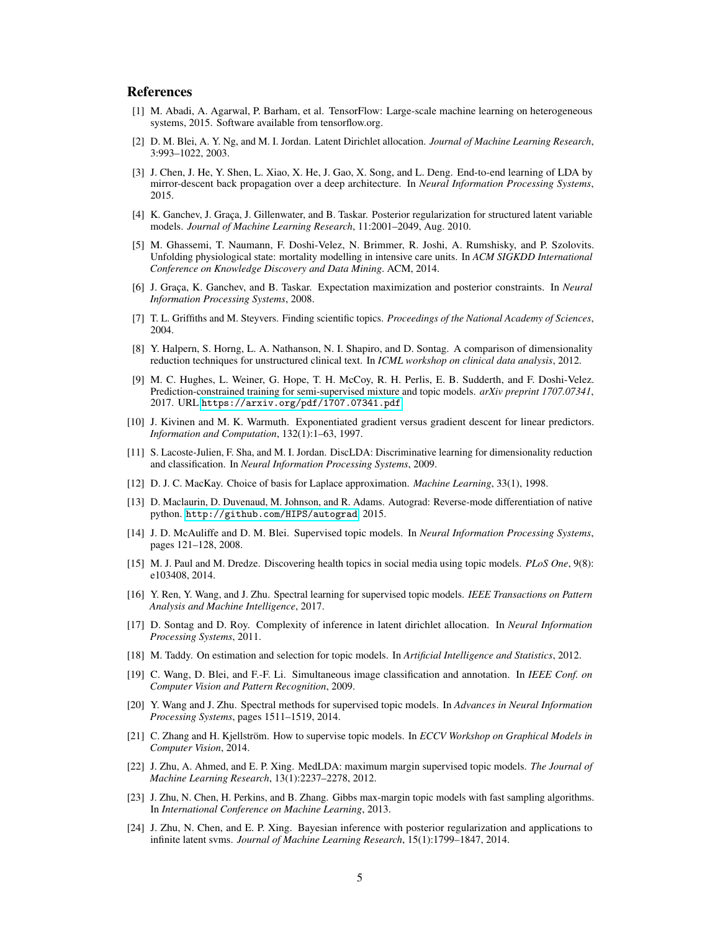#### References

- <span id="page-4-22"></span>[1] M. Abadi, A. Agarwal, P. Barham, et al. TensorFlow: Large-scale machine learning on heterogeneous systems, 2015. Software available from tensorflow.org.
- <span id="page-4-0"></span>[2] D. M. Blei, A. Y. Ng, and M. I. Jordan. Latent Dirichlet allocation. *Journal of Machine Learning Research*, 3:993–1022, 2003.
- <span id="page-4-5"></span>[3] J. Chen, J. He, Y. Shen, L. Xiao, X. He, J. Gao, X. Song, and L. Deng. End-to-end learning of LDA by mirror-descent back propagation over a deep architecture. In *Neural Information Processing Systems*, 2015.
- <span id="page-4-13"></span>[4] K. Ganchev, J. Graça, J. Gillenwater, and B. Taskar. Posterior regularization for structured latent variable models. *Journal of Machine Learning Research*, 11:2001–2049, Aug. 2010.
- <span id="page-4-2"></span>[5] M. Ghassemi, T. Naumann, F. Doshi-Velez, N. Brimmer, R. Joshi, A. Rumshisky, and P. Szolovits. Unfolding physiological state: mortality modelling in intensive care units. In *ACM SIGKDD International Conference on Knowledge Discovery and Data Mining*. ACM, 2014.
- <span id="page-4-14"></span>[6] J. Graça, K. Ganchev, and B. Taskar. Expectation maximization and posterior constraints. In *Neural Information Processing Systems*, 2008.
- <span id="page-4-23"></span>[7] T. L. Griffiths and M. Steyvers. Finding scientific topics. *Proceedings of the National Academy of Sciences*, 2004.
- <span id="page-4-7"></span>[8] Y. Halpern, S. Horng, L. A. Nathanson, N. I. Shapiro, and D. Sontag. A comparison of dimensionality reduction techniques for unstructured clinical text. In *ICML workshop on clinical data analysis*, 2012.
- <span id="page-4-8"></span>[9] M. C. Hughes, L. Weiner, G. Hope, T. H. McCoy, R. H. Perlis, E. B. Sudderth, and F. Doshi-Velez. Prediction-constrained training for semi-supervised mixture and topic models. *arXiv preprint 1707.07341*, 2017. URL <https://arxiv.org/pdf/1707.07341.pdf>.
- <span id="page-4-18"></span>[10] J. Kivinen and M. K. Warmuth. Exponentiated gradient versus gradient descent for linear predictors. *Information and Computation*, 132(1):1–63, 1997.
- <span id="page-4-4"></span>[11] S. Lacoste-Julien, F. Sha, and M. I. Jordan. DiscLDA: Discriminative learning for dimensionality reduction and classification. In *Neural Information Processing Systems*, 2009.
- <span id="page-4-20"></span>[12] D. J. C. MacKay. Choice of basis for Laplace approximation. *Machine Learning*, 33(1), 1998.
- <span id="page-4-21"></span>[13] D. Maclaurin, D. Duvenaud, M. Johnson, and R. Adams. Autograd: Reverse-mode differentiation of native python. [http://github.com/HIPS/autograd](http://github. com/HIPS/autograd), 2015.
- <span id="page-4-6"></span>[14] J. D. McAuliffe and D. M. Blei. Supervised topic models. In *Neural Information Processing Systems*, pages 121–128, 2008.
- <span id="page-4-1"></span>[15] M. J. Paul and M. Dredze. Discovering health topics in social media using topic models. *PLoS One*, 9(8): e103408, 2014.
- <span id="page-4-12"></span>[16] Y. Ren, Y. Wang, and J. Zhu. Spectral learning for supervised topic models. *IEEE Transactions on Pattern Analysis and Machine Intelligence*, 2017.
- <span id="page-4-17"></span>[17] D. Sontag and D. Roy. Complexity of inference in latent dirichlet allocation. In *Neural Information Processing Systems*, 2011.
- <span id="page-4-19"></span>[18] M. Taddy. On estimation and selection for topic models. In *Artificial Intelligence and Statistics*, 2012.
- <span id="page-4-9"></span>[19] C. Wang, D. Blei, and F.-F. Li. Simultaneous image classification and annotation. In *IEEE Conf. on Computer Vision and Pattern Recognition*, 2009.
- <span id="page-4-11"></span>[20] Y. Wang and J. Zhu. Spectral methods for supervised topic models. In *Advances in Neural Information Processing Systems*, pages 1511–1519, 2014.
- <span id="page-4-10"></span>[21] C. Zhang and H. Kjellström. How to supervise topic models. In *ECCV Workshop on Graphical Models in Computer Vision*, 2014.
- <span id="page-4-3"></span>[22] J. Zhu, A. Ahmed, and E. P. Xing. MedLDA: maximum margin supervised topic models. *The Journal of Machine Learning Research*, 13(1):2237–2278, 2012.
- <span id="page-4-15"></span>[23] J. Zhu, N. Chen, H. Perkins, and B. Zhang. Gibbs max-margin topic models with fast sampling algorithms. In *International Conference on Machine Learning*, 2013.
- <span id="page-4-16"></span>[24] J. Zhu, N. Chen, and E. P. Xing. Bayesian inference with posterior regularization and applications to infinite latent svms. *Journal of Machine Learning Research*, 15(1):1799–1847, 2014.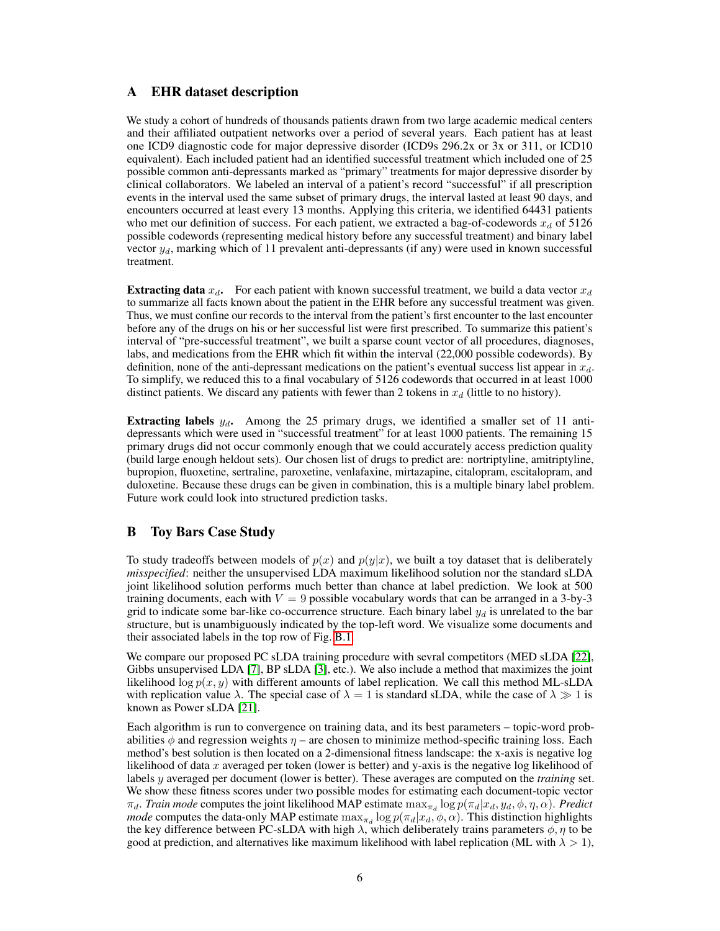# A EHR dataset description

We study a cohort of hundreds of thousands patients drawn from two large academic medical centers and their affiliated outpatient networks over a period of several years. Each patient has at least one ICD9 diagnostic code for major depressive disorder (ICD9s 296.2x or 3x or 311, or ICD10 equivalent). Each included patient had an identified successful treatment which included one of 25 possible common anti-depressants marked as "primary" treatments for major depressive disorder by clinical collaborators. We labeled an interval of a patient's record "successful" if all prescription events in the interval used the same subset of primary drugs, the interval lasted at least 90 days, and encounters occurred at least every 13 months. Applying this criteria, we identified 64431 patients who met our definition of success. For each patient, we extracted a bag-of-codewords  $x_d$  of 5126 possible codewords (representing medical history before any successful treatment) and binary label vector  $y_d$ , marking which of 11 prevalent anti-depressants (if any) were used in known successful treatment.

**Extracting data**  $x_d$ . For each patient with known successful treatment, we build a data vector  $x_d$ to summarize all facts known about the patient in the EHR before any successful treatment was given. Thus, we must confine our records to the interval from the patient's first encounter to the last encounter before any of the drugs on his or her successful list were first prescribed. To summarize this patient's interval of "pre-successful treatment", we built a sparse count vector of all procedures, diagnoses, labs, and medications from the EHR which fit within the interval (22,000 possible codewords). By definition, none of the anti-depressant medications on the patient's eventual success list appear in  $x_d$ . To simplify, we reduced this to a final vocabulary of 5126 codewords that occurred in at least 1000 distinct patients. We discard any patients with fewer than 2 tokens in  $x_d$  (little to no history).

Extracting labels  $y_d$ . Among the 25 primary drugs, we identified a smaller set of 11 antidepressants which were used in "successful treatment" for at least 1000 patients. The remaining 15 primary drugs did not occur commonly enough that we could accurately access prediction quality (build large enough heldout sets). Our chosen list of drugs to predict are: nortriptyline, amitriptyline, bupropion, fluoxetine, sertraline, paroxetine, venlafaxine, mirtazapine, citalopram, escitalopram, and duloxetine. Because these drugs can be given in combination, this is a multiple binary label problem. Future work could look into structured prediction tasks.

# B Toy Bars Case Study

To study tradeoffs between models of  $p(x)$  and  $p(y|x)$ , we built a toy dataset that is deliberately *misspecified*: neither the unsupervised LDA maximum likelihood solution nor the standard sLDA joint likelihood solution performs much better than chance at label prediction. We look at 500 training documents, each with  $V = 9$  possible vocabulary words that can be arranged in a 3-by-3 grid to indicate some bar-like co-occurrence structure. Each binary label  $y_d$  is unrelated to the bar structure, but is unambiguously indicated by the top-left word. We visualize some documents and their associated labels in the top row of Fig. [B.1.](#page-6-0)

We compare our proposed PC sLDA training procedure with sevral competitors (MED sLDA [\[22\]](#page-4-3), Gibbs unsupervised LDA [\[7\]](#page-4-23), BP sLDA [\[3\]](#page-4-5), etc.). We also include a method that maximizes the joint likelihood  $\log p(x, y)$  with different amounts of label replication. We call this method ML-sLDA with replication value  $\lambda$ . The special case of  $\lambda = 1$  is standard sLDA, while the case of  $\lambda \gg 1$  is known as Power sLDA [\[21\]](#page-4-10).

Each algorithm is run to convergence on training data, and its best parameters – topic-word probabilities  $\phi$  and regression weights  $\eta$  – are chosen to minimize method-specific training loss. Each method's best solution is then located on a 2-dimensional fitness landscape: the x-axis is negative log likelihood of data x averaged per token (lower is better) and y-axis is the negative log likelihood of labels y averaged per document (lower is better). These averages are computed on the *training* set. We show these fitness scores under two possible modes for estimating each document-topic vector  $\pi_d$ . *Train mode* computes the joint likelihood MAP estimate  $\max_{\pi_d} \log p(\pi_d | x_d, y_d, \phi, \eta, \alpha)$ . *Predict mode* computes the data-only MAP estimate  $\max_{\pi_d} \log p(\pi_d | x_d, \phi, \alpha)$ . This distinction highlights the key difference between PC-sLDA with high  $\lambda$ , which deliberately trains parameters  $\phi$ ,  $\eta$  to be good at prediction, and alternatives like maximum likelihood with label replication (ML with  $\lambda > 1$ ),